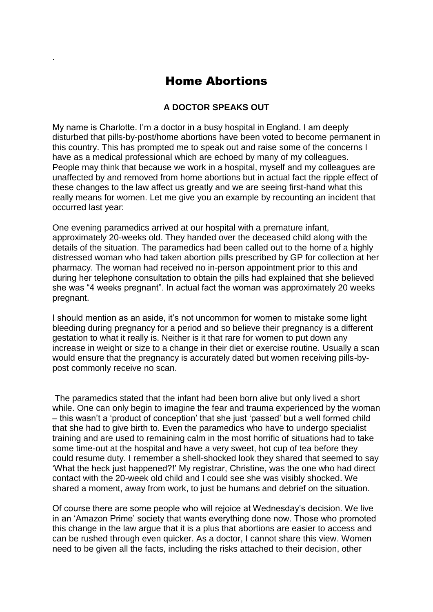## Home Abortions

.

## **A DOCTOR SPEAKS OUT**

My name is Charlotte. I'm a doctor in a busy hospital in England. I am deeply disturbed that pills-by-post/home abortions have been voted to become permanent in this country. This has prompted me to speak out and raise some of the concerns I have as a medical professional which are echoed by many of my colleagues. People may think that because we work in a hospital, myself and my colleagues are unaffected by and removed from home abortions but in actual fact the ripple effect of these changes to the law affect us greatly and we are seeing first-hand what this really means for women. Let me give you an example by recounting an incident that occurred last year:

One evening paramedics arrived at our hospital with a premature infant, approximately 20-weeks old. They handed over the deceased child along with the details of the situation. The paramedics had been called out to the home of a highly distressed woman who had taken abortion pills prescribed by GP for collection at her pharmacy. The woman had received no in-person appointment prior to this and during her telephone consultation to obtain the pills had explained that she believed she was "4 weeks pregnant". In actual fact the woman was approximately 20 weeks pregnant.

I should mention as an aside, it's not uncommon for women to mistake some light bleeding during pregnancy for a period and so believe their pregnancy is a different gestation to what it really is. Neither is it that rare for women to put down any increase in weight or size to a change in their diet or exercise routine. Usually a scan would ensure that the pregnancy is accurately dated but women receiving pills-bypost commonly receive no scan.

The paramedics stated that the infant had been born alive but only lived a short while. One can only begin to imagine the fear and trauma experienced by the woman – this wasn't a 'product of conception' that she just 'passed' but a well formed child that she had to give birth to. Even the paramedics who have to undergo specialist training and are used to remaining calm in the most horrific of situations had to take some time-out at the hospital and have a very sweet, hot cup of tea before they could resume duty. I remember a shell-shocked look they shared that seemed to say 'What the heck just happened?!' My registrar, Christine, was the one who had direct contact with the 20-week old child and I could see she was visibly shocked. We shared a moment, away from work, to just be humans and debrief on the situation.

Of course there are some people who will rejoice at Wednesday's decision. We live in an 'Amazon Prime' society that wants everything done now. Those who promoted this change in the law argue that it is a plus that abortions are easier to access and can be rushed through even quicker. As a doctor, I cannot share this view. Women need to be given all the facts, including the risks attached to their decision, other